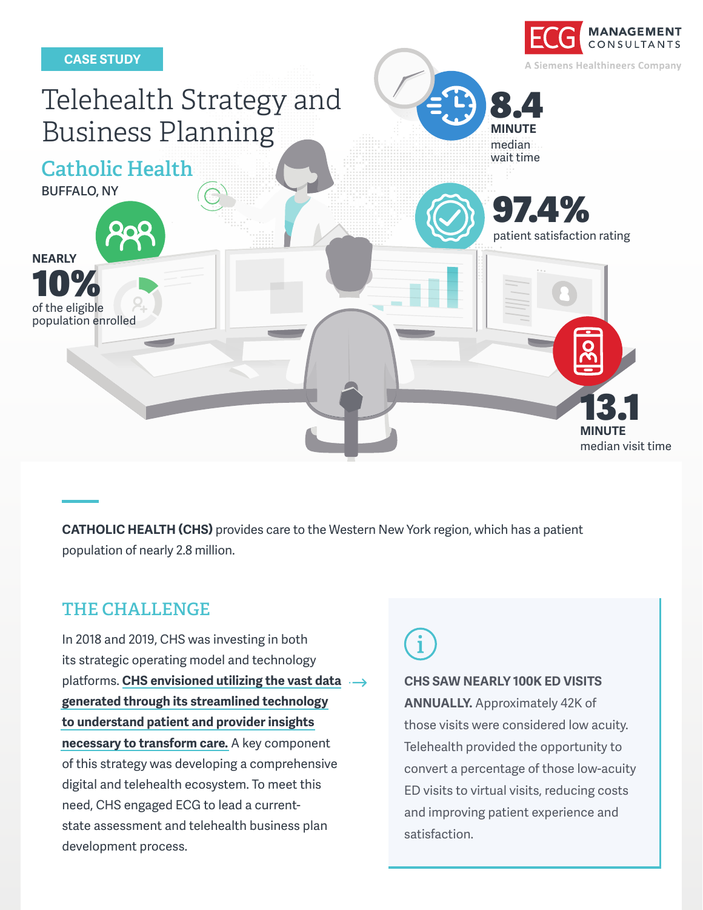

**CATHOLIC HEALTH (CHS)** provides care to the Western New York region, which has a patient population of nearly 2.8 million.

#### **THE CHALLENGE**

In 2018 and 2019, CHS was investing in both its strategic operating model and technology platforms. **CHS envisioned utilizing the vast data generated through its streamlined technology to understand patient and provider insights necessary to transform care.** A key component of this strategy was developing a comprehensive digital and telehealth ecosystem. To meet this need, CHS engaged ECG to lead a currentstate assessment and telehealth business plan development process.

### **CHS SAW NEARLY 100K ED VISITS ANNUALLY.** Approximately 42K of those visits were considered low acuity. Telehealth provided the opportunity to convert a percentage of those low-acuity ED visits to virtual visits, reducing costs and improving patient experience and satisfaction.